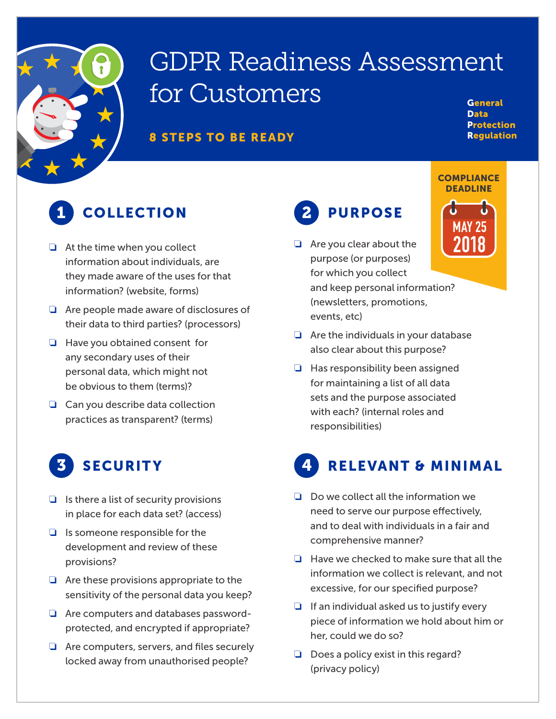

# GDPR Readiness Assessment for Customers

#### 8 STEPS TO BE READY

**General** Data **Protection** Regulation

## 1 COLLECTION 2 PURPOSE

- ❏ At the time when you collect information about individuals, are they made aware of the uses for that information? (website, forms)
- ❏ Are people made aware of disclosures of their data to third parties? (processors)
- ❏ Have you obtained consent for any secondary uses of their personal data, which might not be obvious to them (terms)?
- ❏ Can you describe data collection practices as transparent? (terms)

### **SECURITY**

- $\Box$  Is there a list of security provisions in place for each data set? (access)
- ❏ Is someone responsible for the development and review of these provisions?
- ❏ Are these provisions appropriate to the sensitivity of the personal data you keep?
- ❏ Are computers and databases passwordprotected, and encrypted if appropriate?
- ❏ Are computers, servers, and files securely locked away from unauthorised people?

❏ Are you clear about the purpose (or purposes) for which you collect and keep personal information? (newsletters, promotions, events, etc)



**COMPLIANCE** 

- ❏ Are the individuals in your database also clear about this purpose?
- ❏ Has responsibility been assigned for maintaining a list of all data sets and the purpose associated with each? (internal roles and responsibilities)

## **RELEVANT & MINIMAL**

- ❏ Do we collect all the information we need to serve our purpose effectively, and to deal with individuals in a fair and comprehensive manner?
- ❏ Have we checked to make sure that all the information we collect is relevant, and not excessive, for our specified purpose?
- ❏ If an individual asked us to justify every piece of information we hold about him or her, could we do so?
- ❏ Does a policy exist in this regard? (privacy policy)